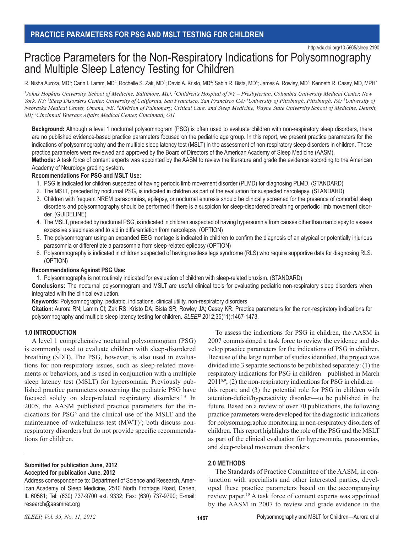# Practice Parameters for the Non-Respiratory Indications for Polysomnography and Multiple Sleep Latency Testing for Children

R. Nisha Aurora, MD1; Carin I. Lamm, MD<sup>2</sup>; Rochelle S. Zak, MD<sup>3</sup>; David A. Kristo, MD<sup>4</sup>; Sabin R. Bista, MD<sup>5</sup>; James A. Rowley, MD6<sup>c</sup>; Kenneth R. Casey, MD, MPH<sup>7</sup>

<sup>1</sup>Johns Hopkins University, School of Medicine, Baltimore, MD; <sup>2</sup>Children's Hospital of NY – Presbyterian, Columbia University Medical Center, New York, NY; <sup>3</sup>Sleep Disorders Center, University of California, San Francisco, San Francisco CA; <sup>4</sup>University of Pittsburgh, Pittsburgh, PA; <sup>5</sup>University of *Nebraska Medical Center, Omaha, NE; 6 Division of Pulmonary, Critical Care, and Sleep Medicine, Wayne State University School of Medicine, Detroit, MI; 7 Cincinnati Veterans Affairs Medical Center, Cincinnati, OH*

**Background:** Although a level 1 nocturnal polysomnogram (PSG) is often used to evaluate children with non-respiratory sleep disorders, there are no published evidence-based practice parameters focused on the pediatric age group. In this report, we present practice parameters for the indications of polysomnography and the multiple sleep latency test (MSLT) in the assessment of non-respiratory sleep disorders in children. These practice parameters were reviewed and approved by the Board of Directors of the American Academy of Sleep Medicine (AASM).

**Methods:** A task force of content experts was appointed by the AASM to review the literature and grade the evidence according to the American Academy of Neurology grading system.

#### **Recommendations For PSG and MSLT Use:**

- 1. PSG is indicated for children suspected of having periodic limb movement disorder (PLMD) for diagnosing PLMD. (STANDARD)
- 2. The MSLT, preceded by nocturnal PSG, is indicated in children as part of the evaluation for suspected narcolepsy. (STANDARD)
- 3. Children with frequent NREM parasomnias, epilepsy, or nocturnal enuresis should be clinically screened for the presence of comorbid sleep disorders and polysomnography should be performed if there is a suspicion for sleep-disordered breathing or periodic limb movement disorder. (GUIDELINE)
- 4. The MSLT, preceded by nocturnal PSG, is indicated in children suspected of having hypersomnia from causes other than narcolepsy to assess excessive sleepiness and to aid in differentiation from narcolepsy. (OPTION)
- 5. The polysomnogram using an expanded EEG montage is indicated in children to confirm the diagnosis of an atypical or potentially injurious parasomnia or differentiate a parasomnia from sleep-related epilepsy (OPTION)
- 6. Polysomnography is indicated in children suspected of having restless legs syndrome (RLS) who require supportive data for diagnosing RLS. (OPTION)

#### **Recommendations Against PSG Use:**

1. Polysomnography is not routinely indicated for evaluation of children with sleep-related bruxism. (STANDARD)

**Conclusions:** The nocturnal polysomnogram and MSLT are useful clinical tools for evaluating pediatric non-respiratory sleep disorders when integrated with the clinical evaluation.

**Keywords:** Polysomnography, pediatric, indications, clinical utility, non-respiratory disorders

**Citation:** Aurora RN; Lamm CI; Zak RS; Kristo DA; Bista SR; Rowley JA; Casey KR. Practice parameters for the non-respiratory indications for polysomnography and multiple sleep latency testing for children. *SLEEP* 2012;35(11):1467-1473.

## **1.0 INTRODUCTION**

A level 1 comprehensive nocturnal polysomnogram (PSG) is commonly used to evaluate children with sleep-disordered breathing (SDB). The PSG, however, is also used in evaluations for non-respiratory issues, such as sleep-related movements or behaviors, and is used in conjunction with a multiple sleep latency test (MSLT) for hypersomnia. Previously published practice parameters concerning the pediatric PSG have focused solely on sleep-related respiratory disorders.<sup>1-5</sup> In 2005, the AASM published practice parameters for the indications for PSG<sup>6</sup> and the clinical use of the MSLT and the maintenance of wakefulness test  $(MWT)^7$ ; both discuss nonrespiratory disorders but do not provide specific recommendations for children.

#### **Submitted for publication June, 2012 Accepted for publication June, 2012**

Address correspondence to: Department of Science and Research, American Academy of Sleep Medicine, 2510 North Frontage Road, Darien, IL 60561; Tel: (630) 737-9700 ext. 9332; Fax: (630) 737-9790; E-mail: research@aasmnet.org

To assess the indications for PSG in children, the AASM in 2007 commissioned a task force to review the evidence and develop practice parameters for the indications of PSG in children. Because of the large number of studies identified, the project was divided into 3 separate sections to be published separately: (1) the respiratory indications for PSG in children—published in March  $2011^{8,9}$ ; (2) the non-respiratory indications for PSG in children this report; and (3) the potential role for PSG in children with attention-deficit/hyperactivity disorder—to be published in the future. Based on a review of over 70 publications, the following practice parameters were developed for the diagnostic indications for polysomnographic monitoring in non-respiratory disorders of children. This report highlights the role of the PSG and the MSLT as part of the clinical evaluation for hypersomnia, parasomnias, and sleep-related movement disorders.

## **2.0 METHODS**

The Standards of Practice Committee of the AASM, in conjunction with specialists and other interested parties, developed these practice parameters based on the accompanying review paper.10 A task force of content experts was appointed by the AASM in 2007 to review and grade evidence in the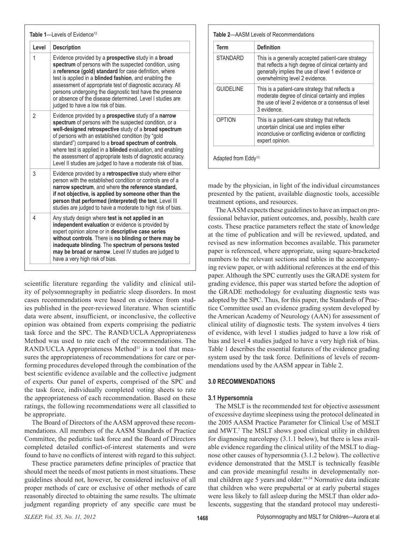| Table 1-Levels of Evidence <sup>12</sup> |                                                                                                                                                                                                                                                                                                                                                                                                                                                                                                           |  |
|------------------------------------------|-----------------------------------------------------------------------------------------------------------------------------------------------------------------------------------------------------------------------------------------------------------------------------------------------------------------------------------------------------------------------------------------------------------------------------------------------------------------------------------------------------------|--|
| Level                                    | <b>Description</b>                                                                                                                                                                                                                                                                                                                                                                                                                                                                                        |  |
| 1                                        | Evidence provided by a prospective study in a broad<br>spectrum of persons with the suspected condition, using<br>a reference (gold) standard for case definition, where<br>test is applied in a blinded fashion, and enabling the<br>assessment of appropriate test of diagnostic accuracy. All<br>persons undergoing the diagnostic test have the presence<br>or absence of the disease determined. Level I studies are<br>judged to have a low risk of bias.                                           |  |
| $\overline{2}$                           | Evidence provided by a <b>prospective</b> study of a narrow<br>spectrum of persons with the suspected condition, or a<br>well-designed retrospective study of a broad spectrum<br>of persons with an established condition (by "gold<br>standard") compared to a <b>broad spectrum of controls</b> .<br>where test is applied in a <b>blinded</b> evaluation, and enabling<br>the assessment of appropriate tests of diagnostic accuracy.<br>Level II studies are judged to have a moderate risk of bias. |  |
| 3                                        | Evidence provided by a retrospective study where either<br>person with the established condition or controls are of a<br>narrow spectrum, and where the reference standard,<br>if not objective, is applied by someone other than the<br>person that performed (interpreted) the test. Level III<br>studies are judged to have a moderate to high risk of bias.                                                                                                                                           |  |
| 4                                        | Any study design where test is not applied in an<br>independent evaluation or evidence is provided by<br>expert opinion alone or in descriptive case series<br>without controls. There is no blinding or there may be<br>inadequate blinding. The spectrum of persons tested<br>may be broad or narrow. Level IV studies are judged to<br>have a very high risk of bias.                                                                                                                                  |  |

scientific literature regarding the validity and clinical utility of polysomnography in pediatric sleep disorders. In most cases recommendations were based on evidence from studies published in the peer-reviewed literature. When scientific data were absent, insufficient, or inconclusive, the collective opinion was obtained from experts comprising the pediatric task force and the SPC. The RAND/UCLA Appropriateness Method was used to rate each of the recommendations. The  $RAND/UCLA$  Appropriateness Method<sup>11</sup> is a tool that measures the appropriateness of recommendations for care or performing procedures developed through the combination of the best scientific evidence available and the collective judgment of experts. Our panel of experts, comprised of the SPC and the task force, individually completed voting sheets to rate the appropriateness of each recommendation. Based on these ratings, the following recommendations were all classified to be appropriate.

The Board of Directors of the AASM approved these recommendations. All members of the AASM Standards of Practice Committee, the pediatric task force and the Board of Directors completed detailed conflict-of-interest statements and were found to have no conflicts of interest with regard to this subject.

These practice parameters define principles of practice that should meet the needs of most patients in most situations. These guidelines should not, however, be considered inclusive of all proper methods of care or exclusive of other methods of care reasonably directed to obtaining the same results. The ultimate judgment regarding propriety of any specific care must be

| Term             | <b>Definition</b>                                                                                                                                                                                 |
|------------------|---------------------------------------------------------------------------------------------------------------------------------------------------------------------------------------------------|
| STANDARD         | This is a generally accepted patient-care strategy<br>that reflects a high degree of clinical certainty and<br>generally implies the use of level 1 evidence or<br>overwhelming level 2 evidence. |
| <b>GUIDELINE</b> | This is a patient-care strategy that reflects a<br>moderate degree of clinical certainty and implies<br>the use of level 2 evidence or a consensus of level<br>3 evidence.                        |
| OPTION           | This is a patient-care strategy that reflects<br>uncertain clinical use and implies either<br>inconclusive or conflicting evidence or conflicting<br>expert opinion.                              |

made by the physician, in light of the individual circumstances presented by the patient, available diagnostic tools, accessible treatment options, and resources.

The AASM expects these guidelines to have an impact on professional behavior, patient outcomes, and, possibly, health care costs. These practice parameters reflect the state of knowledge at the time of publication and will be reviewed, updated, and revised as new information becomes available. This parameter paper is referenced, where appropriate, using square-bracketed numbers to the relevant sections and tables in the accompanying review paper, or with additional references at the end of this paper. Although the SPC currently uses the GRADE system for grading evidence, this paper was started before the adoption of the GRADE methodology for evaluating diagnostic tests was adopted by the SPC. Thus, for this paper, the Standards of Practice Committee used an evidence grading system developed by the American Academy of Neurology (AAN) for assessment of clinical utility of diagnostic tests. The system involves 4 tiers of evidence, with level 1 studies judged to have a low risk of bias and level 4 studies judged to have a very high risk of bias. Table 1 describes the essential features of the evidence grading system used by the task force. Definitions of levels of recommendations used by the AASM appear in Table 2.

## **3.0 RECOMMENDATIONS**

#### **3.1 Hypersomnia**

The MSLT is the recommended test for objective assessment of excessive daytime sleepiness using the protocol delineated in the 2005 AASM Practice Parameter for Clinical Use of MSLT and MWT.7 The MSLT shows good clinical utility in children for diagnosing narcolepsy (3.1.1 below), but there is less available evidence regarding the clinical utility of the MSLT to diagnose other causes of hypersomnia (3.1.2 below). The collective evidence demonstrated that the MSLT is technically feasible and can provide meaningful results in developmentally normal children age 5 years and older.<sup>14-34</sup> Normative data indicate that children who were prepubertal or at early pubertal stages were less likely to fall asleep during the MSLT than older adolescents, suggesting that the standard protocol may underesti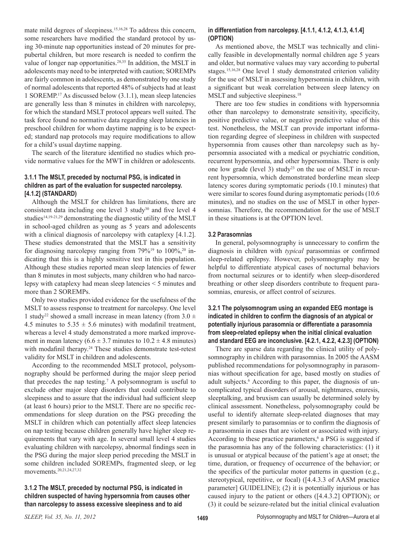mate mild degrees of sleepiness.15,16,28 To address this concern, some researchers have modified the standard protocol by using 30-minute nap opportunities instead of 20 minutes for prepubertal children, but more research is needed to confirm the value of longer nap opportunities.<sup>28,35</sup> In addition, the MSLT in adolescents may need to be interpreted with caution; SOREMPs are fairly common in adolescents, as demonstrated by one study of normal adolescents that reported 48% of subjects had at least 1 SOREMP.17 As discussed below (3.1.1), mean sleep latencies are generally less than 8 minutes in children with narcolepsy, for which the standard MSLT protocol appears well suited. The task force found no normative data regarding sleep latencies in preschool children for whom daytime napping is to be expected; standard nap protocols may require modifications to allow for a child's usual daytime napping.

The search of the literature identified no studies which provide normative values for the MWT in children or adolescents.

## **3.1.1 The MSLT, preceded by nocturnal PSG, is indicated in children as part of the evaluation for suspected narcolepsy. [4.1.2] (STANDARD)**

Although the MSLT for children has limitations, there are consistent data including one level  $3$  study<sup>30</sup> and five level  $4$ studies<sup>14,19-21,29</sup> demonstrating the diagnostic utility of the MSLT in school-aged children as young as 5 years and adolescents with a clinical diagnosis of narcolepsy with cataplexy [4.1.2]. These studies demonstrated that the MSLT has a sensitivity for diagnosing narcolepsy ranging from  $79\%^{19}$  to  $100\%^{20}$  indicating that this is a highly sensitive test in this population. Although these studies reported mean sleep latencies of fewer than 8 minutes in most subjects, many children who had narcolepsy with cataplexy had mean sleep latencies < 5 minutes and more than 2 SOREMPs.

Only two studies provided evidence for the usefulness of the MSLT to assess response to treatment for narcolepsy. One level 1 study<sup>22</sup> showed a small increase in mean latency (from  $3.0 \pm$ 4.5 minutes to  $5.35 \pm 5.6$  minutes) with modafinil treatment, whereas a level 4 study demonstrated a more marked improvement in mean latency ( $6.6 \pm 3.7$  minutes to  $10.2 \pm 4.8$  minutes) with modafinil therapy.<sup>24</sup> These studies demonstrate test-retest validity for MSLT in children and adolescents.

According to the recommended MSLT protocol, polysomnography should be performed during the major sleep period that precedes the nap testing.7 A polysomnogram is useful to exclude other major sleep disorders that could contribute to sleepiness and to assure that the individual had sufficient sleep (at least 6 hours) prior to the MSLT. There are no specific recommendations for sleep duration on the PSG preceding the MSLT in children which can potentially affect sleep latencies on nap testing because children generally have higher sleep requirements that vary with age. In several small level 4 studies evaluating children with narcolepsy, abnormal findings seen in the PSG during the major sleep period preceding the MSLT in some children included SOREMPs, fragmented sleep, or leg movements.20,21,24,27,32

## **3.1.2 The MSLT, preceded by nocturnal PSG, is indicated in children suspected of having hypersomnia from causes other than narcolepsy to assess excessive sleepiness and to aid**

## **in differentiation from narcolepsy. [4.1.1, 4.1.2, 4.1.3, 4.1.4] (OPTION)**

As mentioned above, the MSLT was technically and clinically feasible in developmentally normal children age 5 years and older, but normative values may vary according to pubertal stages.15,16,28 One level 1 study demonstrated criterion validity for the use of MSLT in assessing hypersomnia in children, with a significant but weak correlation between sleep latency on MSLT and subjective sleepiness.<sup>18</sup>

There are too few studies in conditions with hypersomnia other than narcolepsy to demonstrate sensitivity, specificity, positive predictive value, or negative predictive value of this test. Nonetheless, the MSLT can provide important information regarding degree of sleepiness in children with suspected hypersomnia from causes other than narcolepsy such as hypersomnia associated with a medical or psychiatric condition, recurrent hypersomnia, and other hypersomnias. There is only one low grade (level 3) study<sup>23</sup> on the use of MSLT in recurrent hypersomnia, which demonstrated borderline mean sleep latency scores during symptomatic periods (10.1 minutes) that were similar to scores found during asymptomatic periods (10.6 minutes), and no studies on the use of MSLT in other hypersomnias. Therefore, the recommendation for the use of MSLT in these situations is at the OPTION level.

## **3.2 Parasomnias**

In general, polysomnography is unnecessary to confirm the diagnosis in children with *typical* parasomnias or confirmed sleep-related epilepsy. However, polysomnography may be helpful to differentiate atypical cases of nocturnal behaviors from nocturnal seizures or to identify when sleep-disordered breathing or other sleep disorders contribute to frequent parasomnias, enuresis, or affect control of seizures.

## **3.2.1 The polysomnogram using an expanded EEG montage is indicated in children to confirm the diagnosis of an atypical or potentially injurious parasomnia or differentiate a parasomnia from sleep-related epilepsy when the initial clinical evaluation and standard EEG are inconclusive. [4.2.1, 4.2.2, 4.2.3] (OPTION)**

There are sparse data regarding the clinical utility of polysomnography in children with parasomnias. In 2005 the AASM published recommendations for polysomnography in parasomnias without specification for age, based mostly on studies of adult subjects.<sup>6</sup> According to this paper, the diagnosis of uncomplicated typical disorders of arousal, nightmares, enuresis, sleeptalking, and bruxism can usually be determined solely by clinical assessment. Nonetheless, polysomnography could be useful to identify alternate sleep-related diagnoses that may present similarly to parasomnias or to confirm the diagnosis of a parasomnia in cases that are violent or associated with injury. According to these practice parameters,<sup>6</sup> a PSG is suggested if the parasomnia has any of the following characteristics: (1) it is unusual or atypical because of the patient's age at onset; the time, duration, or frequency of occurrence of the behavior; or the specifics of the particular motor patterns in question (e.g., stereotypical, repetitive, or focal) ([4.4.3.3 of AASM practice parameter] GUIDELINE); (2) it is potentially injurious or has caused injury to the patient or others ([4.4.3.2] OPTION); or (3) it could be seizure-related but the initial clinical evaluation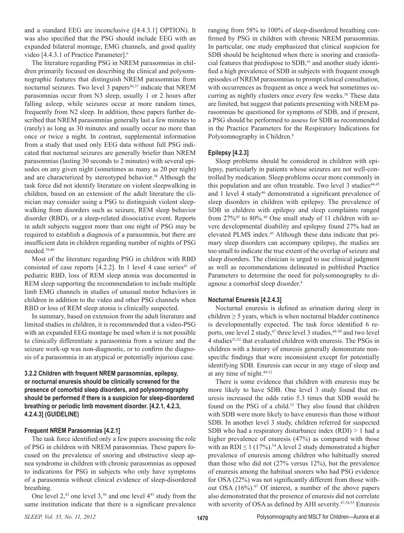and a standard EEG are inconclusive ([4.4.3.1] OPTION). It was also specified that the PSG should include EEG with an expanded bilateral montage, EMG channels, and good quality video [4.4.3.1 of Practice Parameter].6

The literature regarding PSG in NREM parasomnias in children primarily focused on describing the clinical and polysomnographic features that distinguish NREM parasomnias from nocturnal seizures. Two level 3 papers $36,37$  indicate that NREM parasomnias occur from N3 sleep, usually 1 or 2 hours after falling asleep, while seizures occur at more random times, frequently from N2 sleep. In addition, these papers further described that NREM parasomnias generally last a few minutes to (rarely) as long as 30 minutes and usually occur no more than once or twice a night. In contrast, supplemental information from a study that used only EEG data without full PSG indicated that nocturnal seizures are generally briefer than NREM parasomnias (lasting 30 seconds to 2 minutes) with several episodes on any given night (sometimes as many as 20 per night) and are characterized by stereotyped behavior.<sup>38</sup> Although the task force did not identify literature on violent sleepwalking in children, based on an extension of the adult literature the clinician may consider using a PSG to distinguish violent sleepwalking from disorders such as seizure, REM sleep behavior disorder (RBD), or a sleep-related dissociative event. Reports in adult subjects suggest more than one night of PSG may be required to establish a diagnosis of a parasomnia, but there are insufficient data in children regarding number of nights of PSG needed.39,40

Most of the literature regarding PSG in children with RBD consisted of case reports  $[4.2.2]$ . In 1 level 4 case series<sup>41</sup> of pediatric RBD, loss of REM sleep atonia was documented in REM sleep supporting the recommendation to include multiple limb EMG channels in studies of unusual motor behaviors in children in addition to the video and other PSG channels when RBD or loss of REM sleep atonia is clinically suspected.

In summary, based on extension from the adult literature and limited studies in children, it is recommended that a video-PSG with an expanded EEG montage be used when it is not possible to clinically differentiate a parasomnia from a seizure and the seizure work-up was non-diagnostic, or to confirm the diagnosis of a parasomnia in an atypical or potentially injurious case.

## **3.2.2 Children with frequent NREM parasomnias, epilepsy, or nocturnal enuresis should be clinically screened for the presence of comorbid sleep disorders, and polysomnography should be performed if there is a suspicion for sleep-disordered breathing or periodic limb movement disorder. [4.2.1, 4.2.3, 4.2.4.3] (GUIDELINE)**

## **Frequent NREM Parasomnias [4.2.1]**

The task force identified only a few papers assessing the role of PSG in children with NREM parasomnias. These papers focused on the prevalence of snoring and obstructive sleep apnea syndrome in children with chronic parasomnias as opposed to indications for PSG in subjects who only have symptoms of a parasomnia without clinical evidence of sleep-disordered breathing.

One level  $2<sup>42</sup>$  one level  $3<sup>36</sup>$  and one level  $4<sup>43</sup>$  study from the same institution indicate that there is a significant prevalence

ranging from 58% to 100% of sleep-disordered breathing confirmed by PSG in children with chronic NREM parasomnias. In particular, one study emphasized that clinical suspicion for SDB should be heightened when there is snoring and craniofacial features that predispose to SDB,<sup>43</sup> and another study identified a high prevalence of SDB in subjects with frequent enough episodes of NREM parasomnias to prompt clinical consultation, with occurrences as frequent as once a week but sometimes occurring as nightly clusters once every few weeks.<sup>36</sup> These data are limited, but suggest that patients presenting with NREM parasomnias be questioned for symptoms of SDB, and if present, a PSG should be performed to assess for SDB as recommended in the Practice Parameters for the Respiratory Indications for Polysomnography in Children.<sup>8</sup>

## **Epilepsy [4.2.3]**

Sleep problems should be considered in children with epilepsy, particularly in patients whose seizures are not well-controlled by medication. Sleep problems occur more commonly in this population and are often treatable. Two level 3 studies<sup>44,45</sup> and 1 level 4 study<sup>46</sup> demonstrated a significant prevalence of sleep disorders in children with epilepsy. The prevalence of SDB in children with epilepsy and sleep complaints ranged from 27%<sup>45</sup> to 80%.<sup>46</sup> One small study of 11 children with severe developmental disability and epilepsy found 27% had an elevated PLMS index.<sup>45</sup> Although these data indicate that primary sleep disorders can accompany epilepsy, the studies are too small to indicate the true extent of the overlap of seizure and sleep disorders. The clinician is urged to use clinical judgment as well as recommendations delineated in published Practice Parameters to determine the need for polysomnography to diagnose a comorbid sleep disorder.8

## **Nocturnal Enuresis [4.2.4.3]**

Nocturnal enuresis is defined as urination during sleep in children  $\geq$  5 years, which is when nocturnal bladder continence is developmentally expected. The task force identified 6 reports, one level 2 study, $47$  three level 3 studies, $48-50$  and two level 4 studies51,52 that evaluated children with enuresis. The PSGs in children with a history of enuresis generally demonstrate nonspecific findings that were inconsistent except for potentially identifying SDB. Enuresis can occur in any stage of sleep and at any time of night.49-52

There is some evidence that children with enuresis may be more likely to have SDB. One level 3 study found that enuresis increased the odds ratio 5.3 times that SDB would be found on the PSG of a child.<sup>53</sup> They also found that children with SDB were more likely to have enuresis than those without SDB. In another level 3 study, children referred for suspected SDB who had a respiratory disturbance index  $(RDI) > 1$  had a higher prevalence of enuresis (47%) as compared with those with an RDI  $\leq$  1 (17%).<sup>54</sup> A level 2 study demonstrated a higher prevalence of enuresis among children who habitually snored than those who did not (27% versus 12%), but the prevalence of enuresis among the habitual snorers who had PSG evidence for OSA (22%) was not significantly different from those without OSA (16%).47 Of interest, a number of the above papers also demonstrated that the presence of enuresis did not correlate with severity of OSA as defined by AHI severity.<sup>47,54,55</sup> Enuresis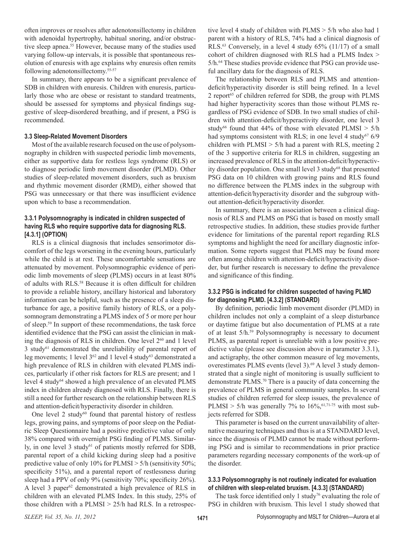often improves or resolves after adenotonsillectomy in children with adenoidal hypertrophy, habitual snoring, and/or obstructive sleep apnea.<sup>55</sup> However, because many of the studies used varying follow-up intervals, it is possible that spontaneous resolution of enuresis with age explains why enuresis often remits following adenotonsillectomy.55-57

In summary, there appears to be a significant prevalence of SDB in children with enuresis. Children with enuresis, particularly those who are obese or resistant to standard treatments, should be assessed for symptoms and physical findings suggestive of sleep-disordered breathing, and if present, a PSG is recommended.

#### **3.3 Sleep-Related Movement Disorders**

Most of the available research focused on the use of polysomnography in children with suspected periodic limb movements, either as supportive data for restless legs syndrome (RLS) or to diagnose periodic limb movement disorder (PLMD). Other studies of sleep-related movement disorders, such as bruxism and rhythmic movement disorder (RMD), either showed that PSG was unnecessary or that there was insufficient evidence upon which to base a recommendation.

## **3.3.1 Polysomnography is indicated in children suspected of having RLS who require supportive data for diagnosing RLS. [4.3.1] (OPTION)**

RLS is a clinical diagnosis that includes sensorimotor discomfort of the legs worsening in the evening hours, particularly while the child is at rest. These uncomfortable sensations are attenuated by movement. Polysomnographic evidence of periodic limb movements of sleep (PLMS) occurs in at least 80% of adults with RLS.58 Because it is often difficult for children to provide a reliable history, ancillary historical and laboratory information can be helpful, such as the presence of a sleep disturbance for age, a positive family history of RLS, or a polysomnogram demonstrating a PLMS index of 5 or more per hour of sleep.59 In support of these recommendations, the task force identified evidence that the PSG can assist the clinician in making the diagnosis of RLS in children. One level  $2^{60}$  and 1 level 3 study<sup>61</sup> demonstrated the unreliability of parental report of leg movements; 1 level 3<sup>62</sup> and 1 level 4 study<sup>63</sup> demonstrated a high prevalence of RLS in children with elevated PLMS indices, particularly if other risk factors for RLS are present; and 1 level 4 study<sup>64</sup> showed a high prevalence of an elevated PLMS index in children already diagnosed with RLS. Finally, there is still a need for further research on the relationship between RLS and attention-deficit/hyperactivity disorder in children.

One level  $2$  study<sup>60</sup> found that parental history of restless legs, growing pains, and symptoms of poor sleep on the Pediatric Sleep Questionnaire had a positive predictive value of only 38% compared with overnight PSG finding of PLMS. Similarly, in one level 3 study $61$  of patients mostly referred for SDB, parental report of a child kicking during sleep had a positive predictive value of only 10% for PLMSI > 5/h (sensitivity 50%; specificity 51%), and a parental report of restlessness during sleep had a PPV of only 9% (sensitivity 70%; specificity 26%). A level 3 paper<sup>62</sup> demonstrated a high prevalence of RLS in children with an elevated PLMS Index. In this study, 25% of those children with a PLMSI > 25/h had RLS. In a retrospective level 4 study of children with PLMS > 5/h who also had 1 parent with a history of RLS, 74% had a clinical diagnosis of RLS.63 Conversely, in a level 4 study 65% (11/17) of a small cohort of children diagnosed with RLS had a PLMS Index > 5/h.<sup>64</sup> These studies provide evidence that PSG can provide useful ancillary data for the diagnosis of RLS.

The relationship between RLS and PLMS and attentiondeficit/hyperactivity disorder is still being refined. In a level 2 report $65$  of children referred for SDB, the group with PLMS had higher hyperactivity scores than those without PLMS regardless of PSG evidence of SDB. In two small studies of children with attention-deficit/hyperactivity disorder, one level 3 study<sup>66</sup> found that 44% of those with elevated PLMSI  $> 5/h$ had symptoms consistent with RLS; in one level 4 study<sup>67</sup>  $6/9$ children with PLMSI > 5/h had a parent with RLS, meeting 2 of the 3 supportive criteria for RLS in children, suggesting an increased prevalence of RLS in the attention-deficit/hyperactivity disorder population. One small level 3 study<sup>68</sup> that presented PSG data on 10 children with growing pains and RLS found no difference between the PLMS index in the subgroup with attention-deficit/hyperactivity disorder and the subgroup without attention-deficit/hyperactivity disorder.

In summary, there is an association between a clinical diagnosis of RLS and PLMS on PSG that is based on mostly small retrospective studies. In addition, these studies provide further evidence for limitations of the parental report regarding RLS symptoms and highlight the need for ancillary diagnostic information. Some reports suggest that PLMS may be found more often among children with attention-deficit/hyperactivity disorder, but further research is necessary to define the prevalence and significance of this finding.

## **3.3.2 PSG is indicated for children suspected of having PLMD for diagnosing PLMD. [4.3.2] (STANDARD)**

By definition, periodic limb movement disorder (PLMD) in children includes not only a complaint of a sleep disturbance or daytime fatigue but also documentation of PLMS at a rate of at least 5/h.59 Polysomnography is necessary to document PLMS, as parental report is unreliable with a low positive predictive value (please see discussion above in parameter 3.3.1), and actigraphy, the other common measure of leg movements, overestimates PLMS events (level 3).<sup>69</sup> A level 3 study demonstrated that a single night of monitoring is usually sufficient to demonstrate PLMS.70 There is a paucity of data concerning the prevalence of PLMS in general community samples. In several studies of children referred for sleep issues, the prevalence of PLMSI > 5/h was generally 7% to  $16\%,$ <sup>61,71-75</sup> with most subjects referred for SDB.

This parameter is based on the current unavailability of alternative measuring techniques and thus is at a STANDARD level, since the diagnosis of PLMD cannot be made without performing PSG and is similar to recommendations in prior practice parameters regarding necessary components of the work-up of the disorder.

## **3.3.3 Polysomnography is not routinely indicated for evaluation of children with sleep-related bruxism. [4.3.3] (STANDARD)**

The task force identified only 1 study<sup>76</sup> evaluating the role of PSG in children with bruxism. This level 1 study showed that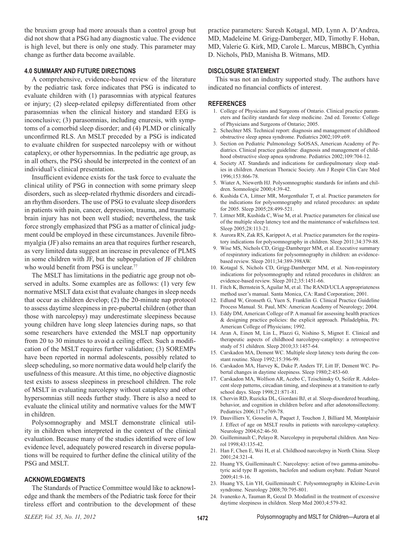the bruxism group had more arousals than a control group but did not show that a PSG had any diagnostic value. The evidence is high level, but there is only one study. This parameter may change as further data become available.

#### **4.0 SUMMARY AND FUTURE DIRECTIONS**

A comprehensive, evidence-based review of the literature by the pediatric task force indicates that PSG is indicated to evaluate children with (1) parasomnias with atypical features or injury; (2) sleep-related epilepsy differentiated from other parasomnias when the clinical history and standard EEG is inconclusive; (3) parasomnias, including enuresis, with symptoms of a comorbid sleep disorder; and (4) PLMD or clinically unconfirmed RLS. An MSLT preceded by a PSG is indicated to evaluate children for suspected narcolepsy with or without cataplexy, or other hypersomnias. In the pediatric age group, as in all others, the PSG should be interpreted in the context of an individual's clinical presentation.

Insufficient evidence exists for the task force to evaluate the clinical utility of PSG in connection with some primary sleep disorders, such as sleep-related rhythmic disorders and circadian rhythm disorders. The use of PSG to evaluate sleep disorders in patients with pain, cancer, depression, trauma, and traumatic brain injury has not been well studied; nevertheless, the task force strongly emphasized that PSG as a matter of clinical judgment could be employed in these circumstances. Juvenile fibromyalgia (JF) also remains an area that requires further research, as very limited data suggest an increase in prevalence of PLMS in some children with JF, but the subpopulation of JF children who would benefit from PSG is unclear.<sup>77</sup>

The MSLT has limitations in the pediatric age group not observed in adults. Some examples are as follows: (1) very few normative MSLT data exist that evaluate changes in sleep needs that occur as children develop; (2) the 20-minute nap protocol to assess daytime sleepiness in pre-pubertal children (other than those with narcolepsy) may underestimate sleepiness because young children have long sleep latencies during naps, so that some researchers have extended the MSLT nap opportunity from 20 to 30 minutes to avoid a ceiling effect. Such a modification of the MSLT requires further validation; (3) SOREMPs have been reported in normal adolescents, possibly related to sleep scheduling, so more normative data would help clarify the usefulness of this measure. At this time, no objective diagnostic test exists to assess sleepiness in preschool children. The role of MSLT in evaluating narcolepsy without cataplexy and other hypersomnias still needs further study. There is also a need to evaluate the clinical utility and normative values for the MWT in children.

Polysomnography and MSLT demonstrate clinical utility in children when interpreted in the context of the clinical evaluation. Because many of the studies identified were of low evidence level, adequately powered research in diverse populations will be required to further define the clinical utility of the PSG and MSLT.

#### **ACKNOWLEDGMENTS**

The Standards of Practice Committee would like to acknowledge and thank the members of the Pediatric task force for their tireless effort and contribution to the development of these

practice parameters: Suresh Kotagal, MD, Lynn A. D'Andrea, MD, Madeleine M. Grigg-Damberger, MD, Timothy F. Hoban, MD, Valerie G. Kirk, MD, Carole L. Marcus, MBBCh, Cynthia D. Nichols, PhD, Manisha B. Witmans, MD.

#### **DISCLOSURE STATEMENT**

This was not an industry supported study. The authors have indicated no financial conflicts of interest.

#### **REFERENCES**

- 1. College of Physicians and Surgeons of Ontario. Clinical practice parameters and facility standards for sleep medicine. 2nd ed. Toronto: College of Physicians and Surgeons of Ontario; 2005.
- 2. Schechter MS. Technical report: diagnosis and management of childhood obstructive sleep apnea syndrome. Pediatrics 2002;109:e69.
- 3. Section on Pediatric Pulmonology SoOSAS, American Academy of Pediatrics. Clinical practice guideline: diagnosis and management of childhood obstructive sleep apnea syndrome. Pediatrics 2002;109:704-12.
- 4. Society AT. Standards and indications for cardiopulmonary sleep studies in children. American Thoracic Society. Am J Respir Clin Care Med 1996;153:866-78.
- 5. Wiater A, Niewerth HJ. Polysomnographic standards for infants and children. Somnologie 2000;4:39-42.
- 6. Kushida CA, Littner MR, Morgenthaler T, et al. Practice parameters for the indications for polysomnography and related procedures: an update for 2005. Sleep 2005;28:499-521.
- 7. Littner MR, Kushida C, Wise M, et al. Practice parameters for clinical use of the multiple sleep latency test and the maintenance of wakefulness test. Sleep 2005;28:113-21.
- 8. Aurora RN, Zak RS, Karippot A, et al. Practice parameters for the respiratory indications for polysomnography in children. Sleep 2011;34:379-88.
- 9. Wise MS, Nichols CD, Grigg-Damberger MM, et al. Executive summary of respiratory indications for polysomnography in children: an evidencebased review. Sleep 2011;34:389-398AW.
- 10. Kotagal S, Nichols CD, Grigg-Damberger MM, et al. Non-respiratory indications for polysomnography and related procedures in children: an evidence-based review. Sleep 2012;35:1451-66.
- 11. Fitch K, Bernstein S, Aguilar M, et al. The RAND/UCLA appropriateness method user's manual. Santa Monica, CA: Rand Corporation; 2001.
- 12. Edlund W, Gronseth G, Yuen S, Franklin G. Clinical Practice Guideline Process Manual. St. Paul, MN: American Academy of Neurology; 2004.
- 13. Eddy DM, American College of P. A manual for assessing health practices & designing practice policies: the explicit approach. Philadelphia, PA: American College of Physicians; 1992.
- 14. Aran A, Einen M, Lin L, Plazzi G, Nishino S, Mignot E. Clinical and therapeutic aspects of childhood narcolepsy-cataplexy: a retrospective study of 51 children. Sleep 2010;33:1457-64.
- 15. Carskadon MA, Dement WC. Multiple sleep latency tests during the constant routine. Sleep 1992;15:396-99.
- 16. Carskadon MA, Harvey K, Duke P, Anders TF, Litt IF, Dement WC. Pubertal changes in daytime sleepiness. Sleep 1980;2:453-60.
- 17. Carskadon MA, Wolfson AR, Acebo C, Tzischinsky O, Seifer R. Adolescent sleep patterns, circadian timing, and sleepiness at a transition to early school days. Sleep 1998;21:871-81.
- 18. Chervin RD, Ruzicka DL, Giordani BJ, et al. Sleep-disordered breathing, behavior, and cognition in children before and after adenotonsillectomy. Pediatrics 2006;117:e769-78.
- 19. Dauvilliers Y, Gosselin A, Paquet J, Touchon J, Billiard M, Montplaisir J. Effect of age on MSLT results in patients with narcolepsy-cataplexy. Neurology 2004;62:46-50.
- 20. Guilleminault C, Pelayo R. Narcolepsy in prepubertal children. Ann Neurol 1998;43:135-42.
- 21. Han F, Chen E, Wei H, et al. Childhood narcolepsy in North China. Sleep 2001;24:321-4.
- 22. Huang YS, Guilleminault C. Narcolepsy: action of two gamma-aminobutyric acid type B agonists, baclofen and sodium oxybate. Pediatr Neurol 2009;41:9-16.
- 23. Huang YS, Lin YH, Guilleminault C. Polysomnography in Kleine-Levin syndrome. Neurology 2008;70:795-801.
- 24. Ivanenko A, Tauman R, Gozal D. Modafinil in the treatment of excessive daytime sleepiness in children. Sleep Med 2003;4:579-82.